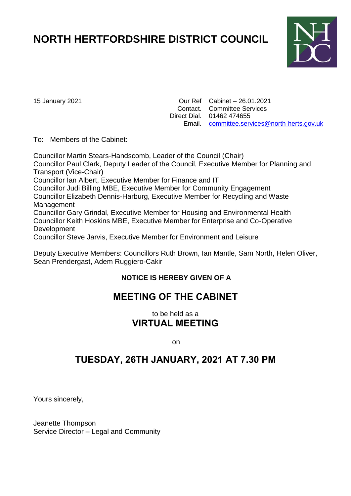# **NORTH HERTFORDSHIRE DISTRICT COUNCIL**



15 January 2021 Our Ref Cabinet – 26.01.2021 Contact. Committee Services Direct Dial. 01462 474655 Email. [committee.services@north-herts.gov.uk](mailto:committee.services@north-herts.gov.uk)

To: Members of the Cabinet:

Councillor Martin Stears-Handscomb, Leader of the Council (Chair) Councillor Paul Clark, Deputy Leader of the Council, Executive Member for Planning and Transport (Vice-Chair) Councillor Ian Albert, Executive Member for Finance and IT Councillor Judi Billing MBE, Executive Member for Community Engagement Councillor Elizabeth Dennis-Harburg, Executive Member for Recycling and Waste Management Councillor Gary Grindal, Executive Member for Housing and Environmental Health Councillor Keith Hoskins MBE, Executive Member for Enterprise and Co-Operative **Development** Councillor Steve Jarvis, Executive Member for Environment and Leisure

Deputy Executive Members: Councillors Ruth Brown, Ian Mantle, Sam North, Helen Oliver, Sean Prendergast, Adem Ruggiero-Cakir

# **NOTICE IS HEREBY GIVEN OF A**

# **MEETING OF THE CABINET**

to be held as a **VIRTUAL MEETING**

on

# **TUESDAY, 26TH JANUARY, 2021 AT 7.30 PM**

Yours sincerely,

Jeanette Thompson Service Director – Legal and Community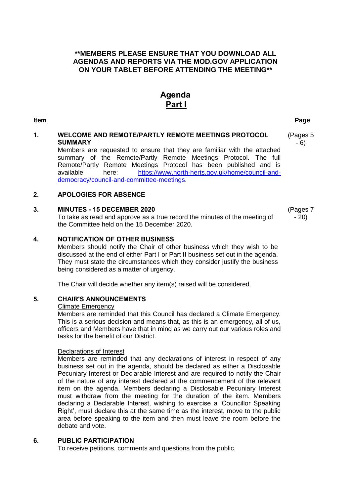### **\*\*MEMBERS PLEASE ENSURE THAT YOU DOWNLOAD ALL AGENDAS AND REPORTS VIA THE MOD.GOV APPLICATION ON YOUR TABLET BEFORE ATTENDING THE MEETING\*\***

# **Agenda Part l**

# **Item Page**

(Pages 5 - 6)

#### **1. WELCOME AND REMOTE/PARTLY REMOTE MEETINGS PROTOCOL SUMMARY**

Members are requested to ensure that they are familiar with the attached summary of the Remote/Partly Remote Meetings Protocol. The full Remote/Partly Remote Meetings Protocol has been published and is available here: [https://www.north-herts.gov.uk/home/council-and](https://www.north-herts.gov.uk/home/council-and-democracy/council-and-committee-meetings)[democracy/council-and-committee-meetings.](https://www.north-herts.gov.uk/home/council-and-democracy/council-and-committee-meetings)

#### **2. APOLOGIES FOR ABSENCE**

#### **3. MINUTES - 15 DECEMBER 2020**

To take as read and approve as a true record the minutes of the meeting of the Committee held on the 15 December 2020.

#### **4. NOTIFICATION OF OTHER BUSINESS**

Members should notify the Chair of other business which they wish to be discussed at the end of either Part I or Part II business set out in the agenda. They must state the circumstances which they consider justify the business being considered as a matter of urgency.

The Chair will decide whether any item(s) raised will be considered.

#### **5. CHAIR'S ANNOUNCEMENTS**

#### Climate Emergency

Members are reminded that this Council has declared a Climate Emergency. This is a serious decision and means that, as this is an emergency, all of us, officers and Members have that in mind as we carry out our various roles and tasks for the benefit of our District.

#### Declarations of Interest

Members are reminded that any declarations of interest in respect of any business set out in the agenda, should be declared as either a Disclosable Pecuniary Interest or Declarable Interest and are required to notify the Chair of the nature of any interest declared at the commencement of the relevant item on the agenda. Members declaring a Disclosable Pecuniary Interest must withdraw from the meeting for the duration of the item. Members declaring a Declarable Interest, wishing to exercise a 'Councillor Speaking Right', must declare this at the same time as the interest, move to the public area before speaking to the item and then must leave the room before the debate and vote.

#### **6. PUBLIC PARTICIPATION**

To receive petitions, comments and questions from the public.

(Pages 7  $-20$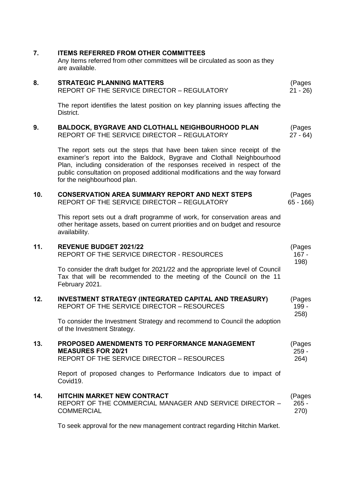| 7.  | <b>ITEMS REFERRED FROM OTHER COMMITTEES</b><br>Any Items referred from other committees will be circulated as soon as they<br>are available.                                                                                                                                                                                                  |                           |
|-----|-----------------------------------------------------------------------------------------------------------------------------------------------------------------------------------------------------------------------------------------------------------------------------------------------------------------------------------------------|---------------------------|
| 8.  | <b>STRATEGIC PLANNING MATTERS</b><br>REPORT OF THE SERVICE DIRECTOR - REGULATORY                                                                                                                                                                                                                                                              | (Pages<br>$21 - 26$       |
|     | The report identifies the latest position on key planning issues affecting the<br>District.                                                                                                                                                                                                                                                   |                           |
| 9.  | BALDOCK, BYGRAVE AND CLOTHALL NEIGHBOURHOOD PLAN<br>REPORT OF THE SERVICE DIRECTOR - REGULATORY                                                                                                                                                                                                                                               | (Pages<br>$27 - 64$       |
|     | The report sets out the steps that have been taken since receipt of the<br>examiner's report into the Baldock, Bygrave and Clothall Neighbourhood<br>Plan, including consideration of the responses received in respect of the<br>public consultation on proposed additional modifications and the way forward<br>for the neighbourhood plan. |                           |
| 10. | <b>CONSERVATION AREA SUMMARY REPORT AND NEXT STEPS</b><br>REPORT OF THE SERVICE DIRECTOR - REGULATORY                                                                                                                                                                                                                                         | (Pages<br>$65 - 166$      |
|     | This report sets out a draft programme of work, for conservation areas and<br>other heritage assets, based on current priorities and on budget and resource<br>availability.                                                                                                                                                                  |                           |
| 11. | <b>REVENUE BUDGET 2021/22</b><br>REPORT OF THE SERVICE DIRECTOR - RESOURCES                                                                                                                                                                                                                                                                   | (Pages<br>$167 -$<br>198) |
|     | To consider the draft budget for 2021/22 and the appropriate level of Council<br>Tax that will be recommended to the meeting of the Council on the 11<br>February 2021.                                                                                                                                                                       |                           |
| 12. | <b>INVESTMENT STRATEGY (INTEGRATED CAPITAL AND TREASURY)</b><br>REPORT OF THE SERVICE DIRECTOR - RESOURCES                                                                                                                                                                                                                                    | (Pages<br>199 -<br>258)   |
|     | To consider the Investment Strategy and recommend to Council the adoption<br>of the Investment Strategy.                                                                                                                                                                                                                                      |                           |
| 13. | <b>PROPOSED AMENDMENTS TO PERFORMANCE MANAGEMENT</b><br><b>MEASURES FOR 20/21</b><br>REPORT OF THE SERVICE DIRECTOR - RESOURCES                                                                                                                                                                                                               | (Pages<br>$259 -$<br>264) |
|     | Report of proposed changes to Performance Indicators due to impact of<br>Covid19.                                                                                                                                                                                                                                                             |                           |
| 14. | <b>HITCHIN MARKET NEW CONTRACT</b><br>REPORT OF THE COMMERCIAL MANAGER AND SERVICE DIRECTOR -<br><b>COMMERCIAL</b>                                                                                                                                                                                                                            | (Pages<br>$265 -$<br>270) |
|     | To seek approval for the new management contract regarding Hitchin Market.                                                                                                                                                                                                                                                                    |                           |